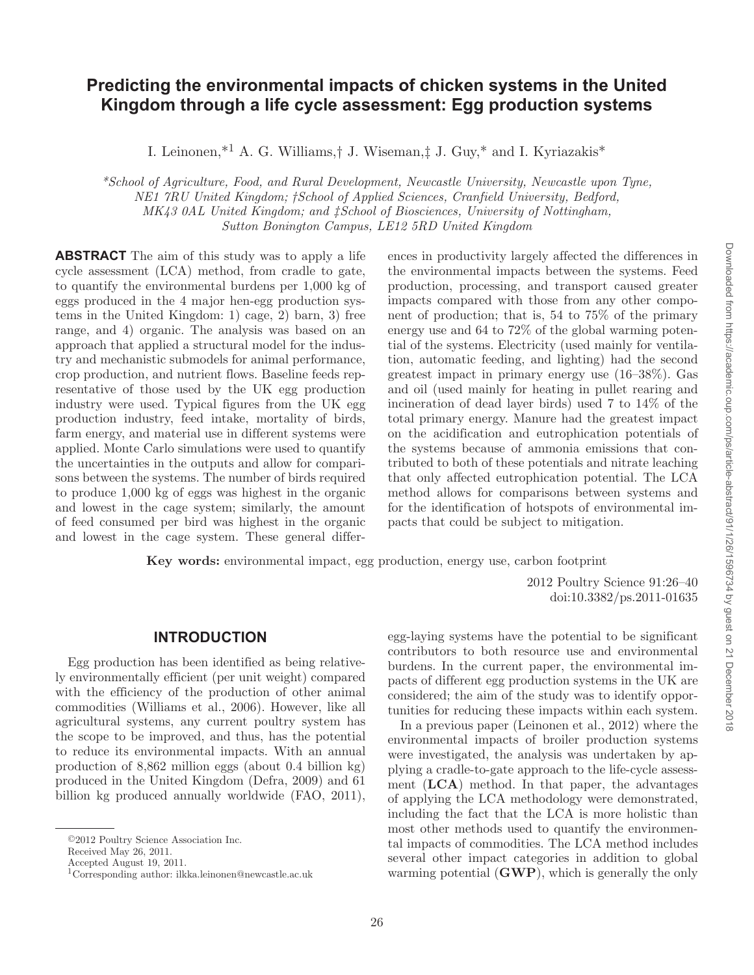# **Predicting the environmental impacts of chicken systems in the United Kingdom through a life cycle assessment: Egg production systems**

I. Leinonen,  $*^1$  A. G. Williams, † J. Wiseman,  $\ddagger$  J. Guy,  $*$  and I. Kyriazakis  $*$ 

 *\* School of Agriculture, Food, and Rural Development, Newcastle University, Newcastle upon Tyne, NE1 7RU United Kingdom; † School of Applied Sciences, Cranfield University, Bedford, MK43 0AL United Kingdom; and ‡ School of Biosciences, University of Nottingham, Sutton Bonington Campus, LE12 5RD United Kingdom* 

 **ABSTRACT** The aim of this study was to apply a life cycle assessment (LCA) method, from cradle to gate, to quantify the environmental burdens per 1,000 kg of eggs produced in the 4 major hen-egg production systems in the United Kingdom: 1) cage, 2) barn, 3) free range, and 4) organic. The analysis was based on an approach that applied a structural model for the industry and mechanistic submodels for animal performance, crop production, and nutrient flows. Baseline feeds representative of those used by the UK egg production industry were used. Typical figures from the UK egg production industry, feed intake, mortality of birds, farm energy, and material use in different systems were applied. Monte Carlo simulations were used to quantify the uncertainties in the outputs and allow for comparisons between the systems. The number of birds required to produce 1,000 kg of eggs was highest in the organic and lowest in the cage system; similarly, the amount of feed consumed per bird was highest in the organic and lowest in the cage system. These general differences in productivity largely affected the differences in the environmental impacts between the systems. Feed production, processing, and transport caused greater impacts compared with those from any other component of production; that is, 54 to 75% of the primary energy use and 64 to 72% of the global warming potential of the systems. Electricity (used mainly for ventilation, automatic feeding, and lighting) had the second greatest impact in primary energy use (16–38%). Gas and oil (used mainly for heating in pullet rearing and incineration of dead layer birds) used 7 to 14% of the total primary energy. Manure had the greatest impact on the acidification and eutrophication potentials of the systems because of ammonia emissions that contributed to both of these potentials and nitrate leaching that only affected eutrophication potential. The LCA method allows for comparisons between systems and for the identification of hotspots of environmental impacts that could be subject to mitigation.

 **Key words:** environmental impact , egg production , energy use , carbon footprint

 2012 Poultry Science 91 :26–40 doi: 10.3382/ps.2011-01635

### **INTRODUCTION**

 Egg production has been identified as being relatively environmentally efficient (per unit weight) compared with the efficiency of the production of other animal commodities (Williams et al., 2006). However, like all agricultural systems, any current poultry system has the scope to be improved, and thus, has the potential to reduce its environmental impacts. With an annual production of 8,862 million eggs (about 0.4 billion kg) produced in the United Kingdom (Defra, 2009) and 61 billion kg produced annually worldwide (FAO, 2011), egg-laying systems have the potential to be significant contributors to both resource use and environmental burdens. In the current paper, the environmental impacts of different egg production systems in the UK are considered; the aim of the study was to identify opportunities for reducing these impacts within each system.

 In a previous paper (Leinonen et al., 2012) where the environmental impacts of broiler production systems were investigated, the analysis was undertaken by applying a cradle-to-gate approach to the life-cycle assessment (**LCA**) method. In that paper, the advantages of applying the LCA methodology were demonstrated, including the fact that the LCA is more holistic than most other methods used to quantify the environmental impacts of commodities. The LCA method includes several other impact categories in addition to global warming potential (**GWP**), which is generally the only

<sup>© 2012</sup> Poultry Science Association Inc.

Received May 26, 2011.

Accepted August 19, 2011.

 <sup>1</sup> Corresponding author: ilkka.leinonen@newcastle.ac.uk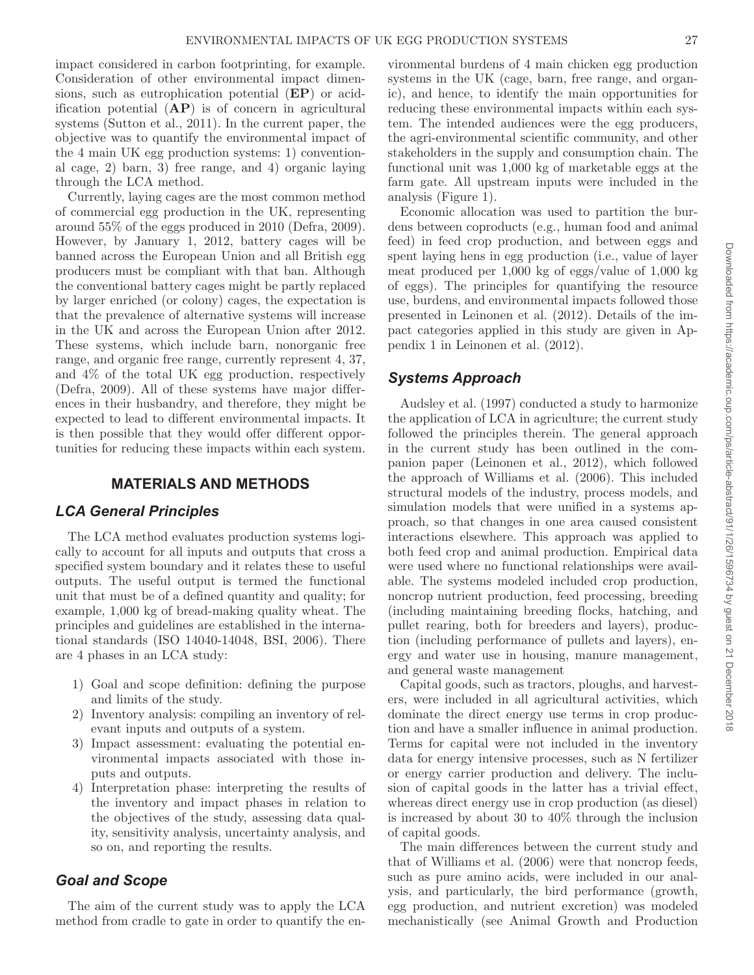impact considered in carbon footprinting, for example. Consideration of other environmental impact dimensions, such as eutrophication potential (**EP**) or acidification potential (**AP**) is of concern in agricultural systems (Sutton et al., 2011). In the current paper, the objective was to quantify the environmental impact of the 4 main UK egg production systems: 1) conventional cage, 2) barn, 3) free range, and 4) organic laying through the LCA method.

Currently, laying cages are the most common method of commercial egg production in the UK, representing around 55% of the eggs produced in 2010 (Defra, 2009). However, by January 1, 2012, battery cages will be banned across the European Union and all British egg producers must be compliant with that ban. Although the conventional battery cages might be partly replaced by larger enriched (or colony) cages, the expectation is that the prevalence of alternative systems will increase in the UK and across the European Union after 2012. These systems, which include barn, nonorganic free range, and organic free range, currently represent 4, 37, and 4% of the total UK egg production, respectively (Defra, 2009). All of these systems have major differences in their husbandry, and therefore, they might be expected to lead to different environmental impacts. It is then possible that they would offer different opportunities for reducing these impacts within each system.

### **MATERIALS AND METHODS**

# *LCA General Principles*

The LCA method evaluates production systems logically to account for all inputs and outputs that cross a specified system boundary and it relates these to useful outputs. The useful output is termed the functional unit that must be of a defined quantity and quality; for example, 1,000 kg of bread-making quality wheat. The principles and guidelines are established in the international standards (ISO 14040-14048, BSI, 2006). There are 4 phases in an LCA study:

- 1) Goal and scope definition: defining the purpose and limits of the study.
- 2) Inventory analysis: compiling an inventory of relevant inputs and outputs of a system.
- 3) Impact assessment: evaluating the potential environmental impacts associated with those inputs and outputs.
- 4) Interpretation phase: interpreting the results of the inventory and impact phases in relation to the objectives of the study, assessing data quality, sensitivity analysis, uncertainty analysis, and so on, and reporting the results.

# *Goal and Scope*

The aim of the current study was to apply the LCA method from cradle to gate in order to quantify the environmental burdens of 4 main chicken egg production systems in the UK (cage, barn, free range, and organic), and hence, to identify the main opportunities for reducing these environmental impacts within each system. The intended audiences were the egg producers, the agri-environmental scientific community, and other stakeholders in the supply and consumption chain. The functional unit was 1,000 kg of marketable eggs at the farm gate. All upstream inputs were included in the analysis (Figure 1).

Economic allocation was used to partition the burdens between coproducts (e.g., human food and animal feed) in feed crop production, and between eggs and spent laying hens in egg production (i.e., value of layer meat produced per 1,000 kg of eggs/value of 1,000 kg of eggs). The principles for quantifying the resource use, burdens, and environmental impacts followed those presented in Leinonen et al. (2012). Details of the impact categories applied in this study are given in Appendix 1 in Leinonen et al. (2012).

# *Systems Approach*

Audsley et al. (1997) conducted a study to harmonize the application of LCA in agriculture; the current study followed the principles therein. The general approach in the current study has been outlined in the companion paper (Leinonen et al., 2012), which followed the approach of Williams et al. (2006). This included structural models of the industry, process models, and simulation models that were unified in a systems approach, so that changes in one area caused consistent interactions elsewhere. This approach was applied to both feed crop and animal production. Empirical data were used where no functional relationships were available. The systems modeled included crop production, noncrop nutrient production, feed processing, breeding (including maintaining breeding flocks, hatching, and pullet rearing, both for breeders and layers), production (including performance of pullets and layers), energy and water use in housing, manure management, and general waste management

Capital goods, such as tractors, ploughs, and harvesters, were included in all agricultural activities, which dominate the direct energy use terms in crop production and have a smaller influence in animal production. Terms for capital were not included in the inventory data for energy intensive processes, such as N fertilizer or energy carrier production and delivery. The inclusion of capital goods in the latter has a trivial effect, whereas direct energy use in crop production (as diesel) is increased by about 30 to 40% through the inclusion of capital goods.

The main differences between the current study and that of Williams et al. (2006) were that noncrop feeds, such as pure amino acids, were included in our analysis, and particularly, the bird performance (growth, egg production, and nutrient excretion) was modeled mechanistically (see Animal Growth and Production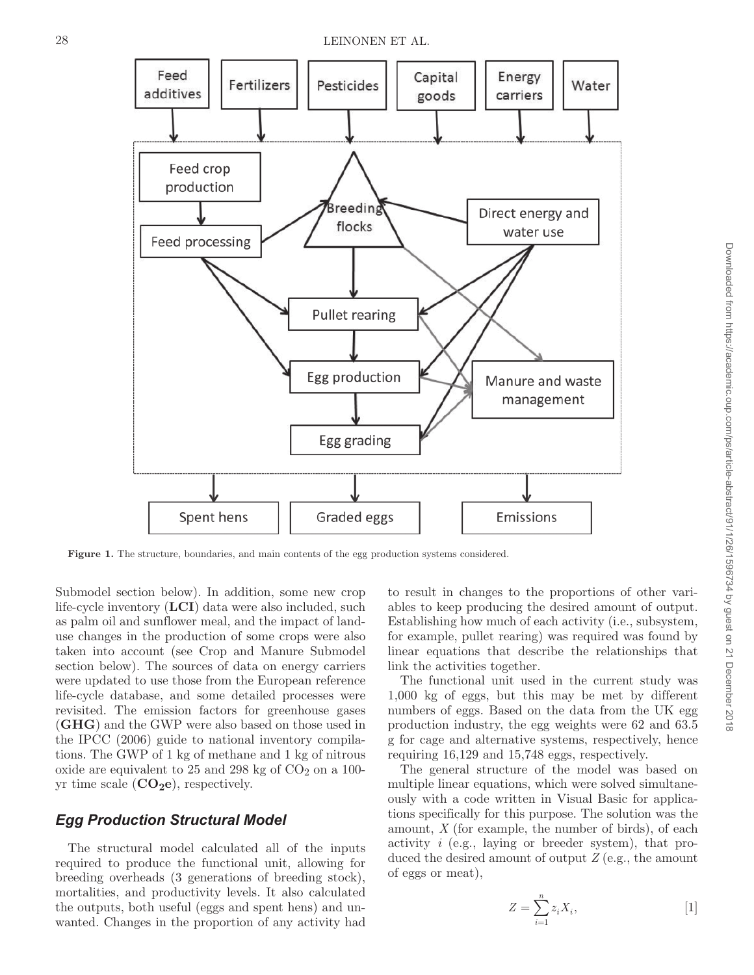

**Figure 1.** The structure, boundaries, and main contents of the egg production systems considered.

Submodel section below). In addition, some new crop life-cycle inventory (**LCI**) data were also included, such as palm oil and sunflower meal, and the impact of landuse changes in the production of some crops were also taken into account (see Crop and Manure Submodel section below). The sources of data on energy carriers were updated to use those from the European reference life-cycle database, and some detailed processes were revisited. The emission factors for greenhouse gases (**GHG**) and the GWP were also based on those used in the IPCC (2006) guide to national inventory compilations. The GWP of 1 kg of methane and 1 kg of nitrous oxide are equivalent to 25 and 298 kg of  $CO<sub>2</sub>$  on a 100yr time scale  $(CO<sub>2</sub>e)$ , respectively.

### *Egg Production Structural Model*

The structural model calculated all of the inputs required to produce the functional unit, allowing for breeding overheads (3 generations of breeding stock), mortalities, and productivity levels. It also calculated the outputs, both useful (eggs and spent hens) and unwanted. Changes in the proportion of any activity had to result in changes to the proportions of other variables to keep producing the desired amount of output. Establishing how much of each activity (i.e., subsystem, for example, pullet rearing) was required was found by linear equations that describe the relationships that link the activities together.

The functional unit used in the current study was 1,000 kg of eggs, but this may be met by different numbers of eggs. Based on the data from the UK egg production industry, the egg weights were 62 and 63.5 g for cage and alternative systems, respectively, hence requiring 16,129 and 15,748 eggs, respectively.

The general structure of the model was based on multiple linear equations, which were solved simultaneously with a code written in Visual Basic for applications specifically for this purpose. The solution was the amount, *X* (for example, the number of birds), of each activity *i* (e.g., laying or breeder system), that produced the desired amount of output *Z* (e.g., the amount of eggs or meat),

> $Z = \sum z_i X_i$ *i*

 $\sum_{i=1} z_i X_i,$ 

*n* =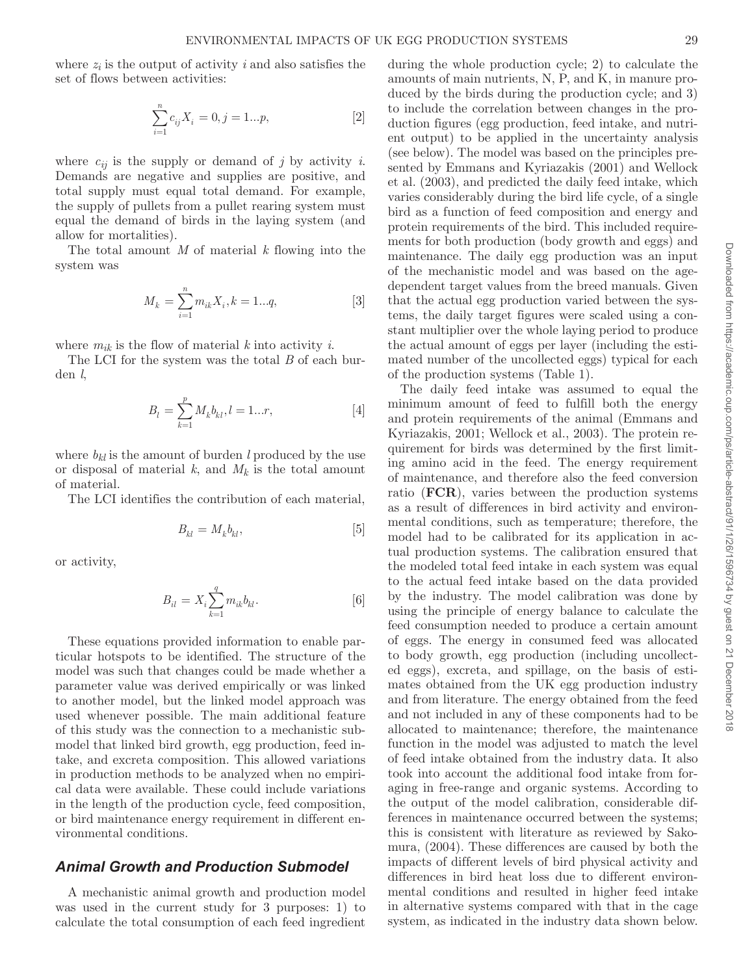where  $z_i$  is the output of activity  $i$  and also satisfies the set of flows between activities:

$$
\sum_{i=1}^{n} c_{ij} X_i = 0, j = 1...p,
$$
 [2]

where  $c_{ij}$  is the supply or demand of *j* by activity *i*. Demands are negative and supplies are positive, and total supply must equal total demand. For example, the supply of pullets from a pullet rearing system must equal the demand of birds in the laying system (and allow for mortalities).

The total amount *M* of material *k* flowing into the system was

$$
M_k = \sum_{i=1}^{n} m_{ik} X_i, k = 1...q,
$$
 [3]

where  $m_{ik}$  is the flow of material  $k$  into activity  $i$ .

The LCI for the system was the total *B* of each burden *l*,

$$
B_l = \sum_{k=1}^{p} M_k b_{kl}, l = 1...r,
$$
 [4]

where  $b_{kl}$  is the amount of burden *l* produced by the use or disposal of material  $k$ , and  $M_k$  is the total amount of material.

The LCI identifies the contribution of each material,

$$
B_{kl} = M_k b_{kl},\tag{5}
$$

or activity,

$$
B_{il}=X_i\sum_{k=1}^q m_{ik}b_{kl}. \hspace{1.5cm} [6]
$$

These equations provided information to enable particular hotspots to be identified. The structure of the model was such that changes could be made whether a parameter value was derived empirically or was linked to another model, but the linked model approach was used whenever possible. The main additional feature of this study was the connection to a mechanistic submodel that linked bird growth, egg production, feed intake, and excreta composition. This allowed variations in production methods to be analyzed when no empirical data were available. These could include variations in the length of the production cycle, feed composition, or bird maintenance energy requirement in different environmental conditions.

# *Animal Growth and Production Submodel*

A mechanistic animal growth and production model was used in the current study for 3 purposes: 1) to calculate the total consumption of each feed ingredient during the whole production cycle; 2) to calculate the amounts of main nutrients, N, P, and K, in manure produced by the birds during the production cycle; and 3) to include the correlation between changes in the production figures (egg production, feed intake, and nutrient output) to be applied in the uncertainty analysis (see below). The model was based on the principles presented by Emmans and Kyriazakis (2001) and Wellock et al. (2003), and predicted the daily feed intake, which varies considerably during the bird life cycle, of a single bird as a function of feed composition and energy and protein requirements of the bird. This included requirements for both production (body growth and eggs) and maintenance. The daily egg production was an input of the mechanistic model and was based on the agedependent target values from the breed manuals. Given that the actual egg production varied between the systems, the daily target figures were scaled using a constant multiplier over the whole laying period to produce the actual amount of eggs per layer (including the estimated number of the uncollected eggs) typical for each of the production systems (Table 1).

The daily feed intake was assumed to equal the minimum amount of feed to fulfill both the energy and protein requirements of the animal (Emmans and Kyriazakis, 2001; Wellock et al., 2003). The protein requirement for birds was determined by the first limiting amino acid in the feed. The energy requirement of maintenance, and therefore also the feed conversion ratio (**FCR**), varies between the production systems as a result of differences in bird activity and environmental conditions, such as temperature; therefore, the model had to be calibrated for its application in actual production systems. The calibration ensured that the modeled total feed intake in each system was equal to the actual feed intake based on the data provided by the industry. The model calibration was done by using the principle of energy balance to calculate the feed consumption needed to produce a certain amount of eggs. The energy in consumed feed was allocated to body growth, egg production (including uncollected eggs), excreta, and spillage, on the basis of estimates obtained from the UK egg production industry and from literature. The energy obtained from the feed and not included in any of these components had to be allocated to maintenance; therefore, the maintenance function in the model was adjusted to match the level of feed intake obtained from the industry data. It also took into account the additional food intake from foraging in free-range and organic systems. According to the output of the model calibration, considerable differences in maintenance occurred between the systems; this is consistent with literature as reviewed by Sakomura, (2004). These differences are caused by both the impacts of different levels of bird physical activity and differences in bird heat loss due to different environmental conditions and resulted in higher feed intake in alternative systems compared with that in the cage system, as indicated in the industry data shown below.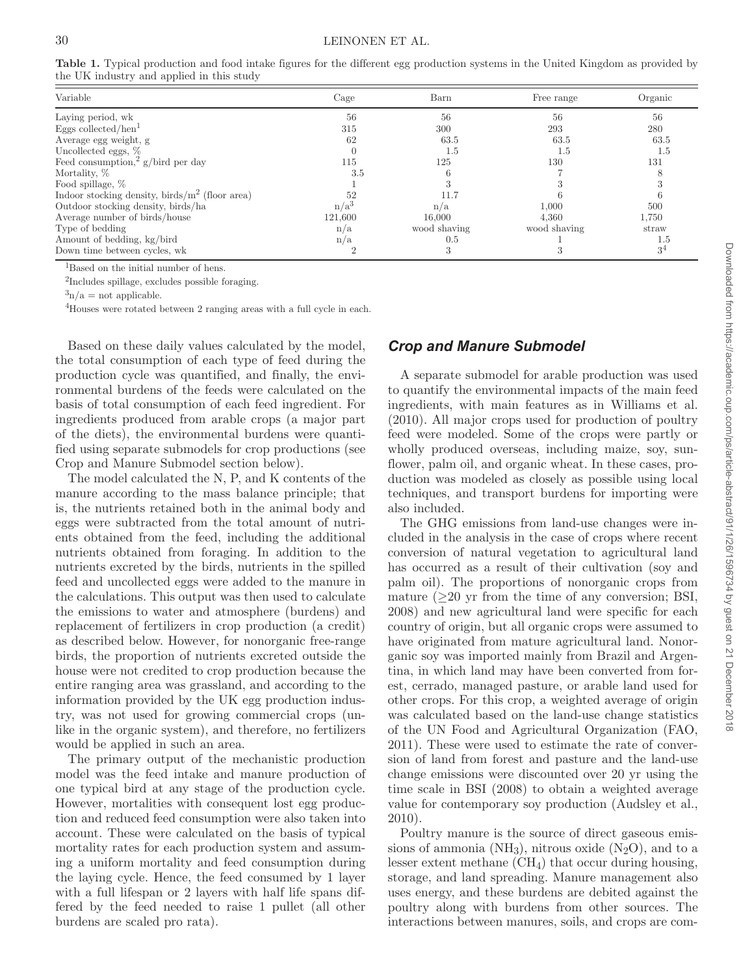| Variable                                           | Cage             | Barn         | Free range   | Organic        |
|----------------------------------------------------|------------------|--------------|--------------|----------------|
| Laying period, wk                                  | 56               | 56           | 56           | 56             |
| Eggs collected/hen $1$                             | 315              | 300          | 293          | 280            |
| Average egg weight, g                              | 62               | 63.5         | 63.5         | 63.5           |
| Uncollected eggs, %                                |                  | 1.5          | 1.5          | 1.5            |
| Feed consumption, <sup>2</sup> g/bird per day      | 115              | 125          | 130          | 131            |
| Mortality, %                                       | 3.5              |              |              |                |
| Food spillage, %                                   |                  |              |              |                |
| Indoor stocking density, birds/ $m^2$ (floor area) |                  | 11.7         |              |                |
| Outdoor stocking density, birds/ha                 | n/a <sup>3</sup> | n/a          | 1,000        | 500            |
| Average number of birds/house                      | 121.600          | 16.000       | 4.360        | 1,750          |
| Type of bedding                                    | n/a              | wood shaving | wood shaving | straw          |
| Amount of bedding, kg/bird                         | n/a              | 0.5          |              |                |
| Down time between cycles, wk                       |                  |              |              | 3 <sup>4</sup> |

**Table 1.** Typical production and food intake figures for the different egg production systems in the United Kingdom as provided by the UK industry and applied in this study

<sup>1</sup>Based on the initial number of hens.

2Includes spillage, excludes possible foraging.

 $\alpha^3$ n/a = not applicable.

4Houses were rotated between 2 ranging areas with a full cycle in each.

Based on these daily values calculated by the model, the total consumption of each type of feed during the production cycle was quantified, and finally, the environmental burdens of the feeds were calculated on the basis of total consumption of each feed ingredient. For ingredients produced from arable crops (a major part of the diets), the environmental burdens were quantified using separate submodels for crop productions (see Crop and Manure Submodel section below).

The model calculated the N, P, and K contents of the manure according to the mass balance principle; that is, the nutrients retained both in the animal body and eggs were subtracted from the total amount of nutrients obtained from the feed, including the additional nutrients obtained from foraging. In addition to the nutrients excreted by the birds, nutrients in the spilled feed and uncollected eggs were added to the manure in the calculations. This output was then used to calculate the emissions to water and atmosphere (burdens) and replacement of fertilizers in crop production (a credit) as described below. However, for nonorganic free-range birds, the proportion of nutrients excreted outside the house were not credited to crop production because the entire ranging area was grassland, and according to the information provided by the UK egg production industry, was not used for growing commercial crops (unlike in the organic system), and therefore, no fertilizers would be applied in such an area.

The primary output of the mechanistic production model was the feed intake and manure production of one typical bird at any stage of the production cycle. However, mortalities with consequent lost egg production and reduced feed consumption were also taken into account. These were calculated on the basis of typical mortality rates for each production system and assuming a uniform mortality and feed consumption during the laying cycle. Hence, the feed consumed by 1 layer with a full lifespan or 2 layers with half life spans differed by the feed needed to raise 1 pullet (all other burdens are scaled pro rata).

# *Crop and Manure Submodel*

A separate submodel for arable production was used to quantify the environmental impacts of the main feed ingredients, with main features as in Williams et al. (2010). All major crops used for production of poultry feed were modeled. Some of the crops were partly or wholly produced overseas, including maize, soy, sunflower, palm oil, and organic wheat. In these cases, production was modeled as closely as possible using local techniques, and transport burdens for importing were also included.

The GHG emissions from land-use changes were included in the analysis in the case of crops where recent conversion of natural vegetation to agricultural land has occurred as a result of their cultivation (soy and palm oil). The proportions of nonorganic crops from mature  $(>20$  yr from the time of any conversion; BSI, 2008) and new agricultural land were specific for each country of origin, but all organic crops were assumed to have originated from mature agricultural land. Nonorganic soy was imported mainly from Brazil and Argentina, in which land may have been converted from forest, cerrado, managed pasture, or arable land used for other crops. For this crop, a weighted average of origin was calculated based on the land-use change statistics of the UN Food and Agricultural Organization (FAO, 2011). These were used to estimate the rate of conversion of land from forest and pasture and the land-use change emissions were discounted over 20 yr using the time scale in BSI (2008) to obtain a weighted average value for contemporary soy production (Audsley et al., 2010).

Poultry manure is the source of direct gaseous emissions of ammonia  $(NH_3)$ , nitrous oxide  $(N_2O)$ , and to a lesser extent methane (CH4) that occur during housing, storage, and land spreading. Manure management also uses energy, and these burdens are debited against the poultry along with burdens from other sources. The interactions between manures, soils, and crops are com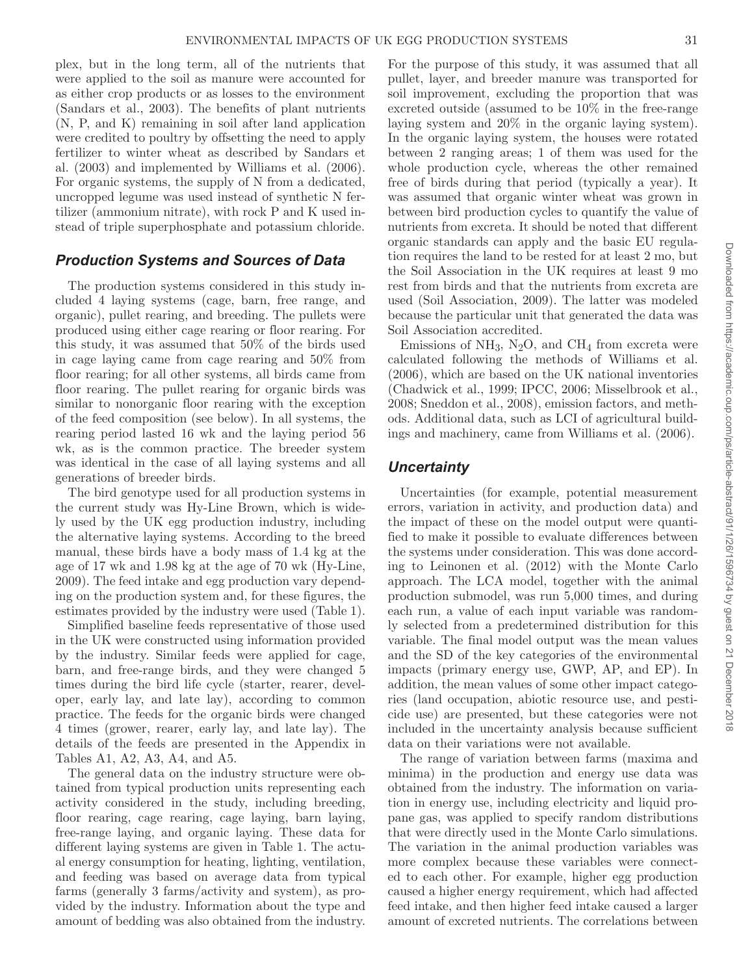plex, but in the long term, all of the nutrients that were applied to the soil as manure were accounted for as either crop products or as losses to the environment (Sandars et al., 2003). The benefits of plant nutrients (N, P, and K) remaining in soil after land application were credited to poultry by offsetting the need to apply fertilizer to winter wheat as described by Sandars et al. (2003) and implemented by Williams et al. (2006). For organic systems, the supply of N from a dedicated, uncropped legume was used instead of synthetic N fertilizer (ammonium nitrate), with rock P and K used instead of triple superphosphate and potassium chloride.

### *Production Systems and Sources of Data*

The production systems considered in this study included 4 laying systems (cage, barn, free range, and organic), pullet rearing, and breeding. The pullets were produced using either cage rearing or floor rearing. For this study, it was assumed that 50% of the birds used in cage laying came from cage rearing and 50% from floor rearing; for all other systems, all birds came from floor rearing. The pullet rearing for organic birds was similar to nonorganic floor rearing with the exception of the feed composition (see below). In all systems, the rearing period lasted 16 wk and the laying period 56 wk, as is the common practice. The breeder system was identical in the case of all laying systems and all generations of breeder birds.

The bird genotype used for all production systems in the current study was Hy-Line Brown, which is widely used by the UK egg production industry, including the alternative laying systems. According to the breed manual, these birds have a body mass of 1.4 kg at the age of 17 wk and 1.98 kg at the age of 70 wk (Hy-Line, 2009). The feed intake and egg production vary depending on the production system and, for these figures, the estimates provided by the industry were used (Table 1).

Simplified baseline feeds representative of those used in the UK were constructed using information provided by the industry. Similar feeds were applied for cage, barn, and free-range birds, and they were changed 5 times during the bird life cycle (starter, rearer, developer, early lay, and late lay), according to common practice. The feeds for the organic birds were changed 4 times (grower, rearer, early lay, and late lay). The details of the feeds are presented in the Appendix in Tables A1, A2, A3, A4, and A5.

The general data on the industry structure were obtained from typical production units representing each activity considered in the study, including breeding, floor rearing, cage rearing, cage laying, barn laying, free-range laying, and organic laying. These data for different laying systems are given in Table 1. The actual energy consumption for heating, lighting, ventilation, and feeding was based on average data from typical farms (generally 3 farms/activity and system), as provided by the industry. Information about the type and amount of bedding was also obtained from the industry. For the purpose of this study, it was assumed that all pullet, layer, and breeder manure was transported for soil improvement, excluding the proportion that was excreted outside (assumed to be 10% in the free-range laying system and 20% in the organic laying system). In the organic laying system, the houses were rotated between 2 ranging areas; 1 of them was used for the whole production cycle, whereas the other remained free of birds during that period (typically a year). It was assumed that organic winter wheat was grown in between bird production cycles to quantify the value of nutrients from excreta. It should be noted that different organic standards can apply and the basic EU regulation requires the land to be rested for at least 2 mo, but the Soil Association in the UK requires at least 9 mo rest from birds and that the nutrients from excreta are used (Soil Association, 2009). The latter was modeled because the particular unit that generated the data was Soil Association accredited.

Emissions of  $NH_3$ , N<sub>2</sub>O, and CH<sub>4</sub> from excreta were calculated following the methods of Williams et al. (2006), which are based on the UK national inventories (Chadwick et al., 1999; IPCC, 2006; Misselbrook et al., 2008; Sneddon et al., 2008), emission factors, and methods. Additional data, such as LCI of agricultural buildings and machinery, came from Williams et al. (2006).

#### *Uncertainty*

Uncertainties (for example, potential measurement errors, variation in activity, and production data) and the impact of these on the model output were quantified to make it possible to evaluate differences between the systems under consideration. This was done according to Leinonen et al. (2012) with the Monte Carlo approach. The LCA model, together with the animal production submodel, was run 5,000 times, and during each run, a value of each input variable was randomly selected from a predetermined distribution for this variable. The final model output was the mean values and the SD of the key categories of the environmental impacts (primary energy use, GWP, AP, and EP). In addition, the mean values of some other impact categories (land occupation, abiotic resource use, and pesticide use) are presented, but these categories were not included in the uncertainty analysis because sufficient data on their variations were not available.

The range of variation between farms (maxima and minima) in the production and energy use data was obtained from the industry. The information on variation in energy use, including electricity and liquid propane gas, was applied to specify random distributions that were directly used in the Monte Carlo simulations. The variation in the animal production variables was more complex because these variables were connected to each other. For example, higher egg production caused a higher energy requirement, which had affected feed intake, and then higher feed intake caused a larger amount of excreted nutrients. The correlations between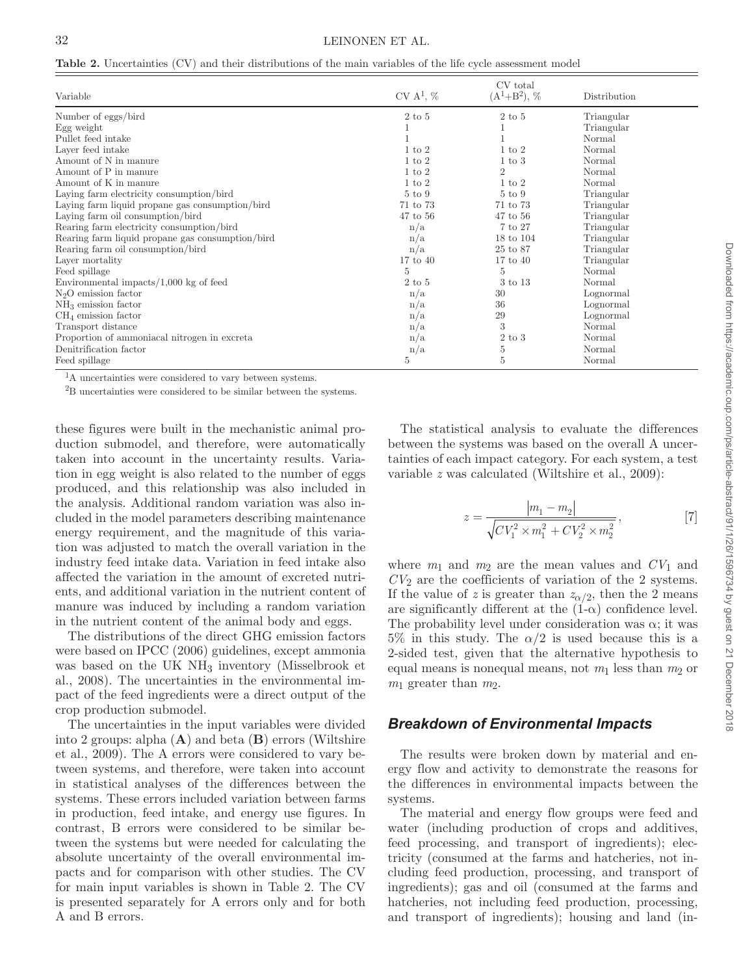|  | <b>Table 2.</b> Uncertainties (CV) and their distributions of the main variables of the life cycle assessment model |  |  |  |  |  |  |  |  |  |  |  |
|--|---------------------------------------------------------------------------------------------------------------------|--|--|--|--|--|--|--|--|--|--|--|
|--|---------------------------------------------------------------------------------------------------------------------|--|--|--|--|--|--|--|--|--|--|--|

|                                                  |                   | CV total           |              |
|--------------------------------------------------|-------------------|--------------------|--------------|
| Variable                                         | $CV A1$ , %       | $(A^1+B^2), \, \%$ | Distribution |
| Number of eggs/bird                              | $2$ to $5$        | $2$ to $5$         | Triangular   |
| Egg weight                                       |                   |                    | Triangular   |
| Pullet feed intake                               |                   |                    | Normal       |
| Layer feed intake                                | $1 \text{ to } 2$ | $1 \text{ to } 2$  | Normal       |
| Amount of N in manure                            | $1 \text{ to } 2$ | $1 \text{ to } 3$  | Normal       |
| Amount of P in manure                            | $1 \text{ to } 2$ | $\overline{2}$     | Normal       |
| Amount of K in manure                            | $1 \text{ to } 2$ | $1 \text{ to } 2$  | Normal       |
| Laying farm electricity consumption/bird         | $5 \text{ to } 9$ | $5 \text{ to } 9$  | Triangular   |
| Laying farm liquid propane gas consumption/bird  | 71 to 73          | 71 to 73           | Triangular   |
| Laying farm oil consumption/bird                 | 47 to 56          | $47$ to $56$       | Triangular   |
| Rearing farm electricity consumption/bird        | n/a               | 7 to 27            | Triangular   |
| Rearing farm liquid propane gas consumption/bird | n/a               | 18 to 104          | Triangular   |
| Rearing farm oil consumption/bird                | n/a               | 25 to 87           | Triangular   |
| Layer mortality                                  | $17$ to $40$      | $17$ to $40$       | Triangular   |
| Feed spillage                                    | 5                 | 5                  | Normal       |
| Environmental impacts/ $1,000$ kg of feed        | $2$ to $5$        | 3 to 13            | Normal       |
| $N2O$ emission factor                            | n/a               | 30                 | Lognormal    |
| $NH3$ emission factor                            | n/a               | 36                 | Lognormal    |
| $CH4$ emission factor                            | n/a               | 29                 | Lognormal    |
| Transport distance                               | n/a               | 3                  | Normal       |
| Proportion of ammoniacal nitrogen in excreta     | n/a               | $2$ to $3$         | Normal       |
| Denitrification factor                           | n/a               | $\overline{5}$     | Normal       |
| Feed spillage                                    | 5                 | 5                  | Normal       |

<sup>1</sup>A uncertainties were considered to vary between systems.

2B uncertainties were considered to be similar between the systems.

these figures were built in the mechanistic animal production submodel, and therefore, were automatically taken into account in the uncertainty results. Variation in egg weight is also related to the number of eggs produced, and this relationship was also included in the analysis. Additional random variation was also included in the model parameters describing maintenance energy requirement, and the magnitude of this variation was adjusted to match the overall variation in the industry feed intake data. Variation in feed intake also affected the variation in the amount of excreted nutrients, and additional variation in the nutrient content of manure was induced by including a random variation in the nutrient content of the animal body and eggs.

The distributions of the direct GHG emission factors were based on IPCC (2006) guidelines, except ammonia was based on the UK NH<sub>3</sub> inventory (Misselbrook et al., 2008). The uncertainties in the environmental impact of the feed ingredients were a direct output of the crop production submodel.

The uncertainties in the input variables were divided into 2 groups: alpha (**A**) and beta (**B**) errors (Wiltshire et al., 2009). The A errors were considered to vary between systems, and therefore, were taken into account in statistical analyses of the differences between the systems. These errors included variation between farms in production, feed intake, and energy use figures. In contrast, B errors were considered to be similar between the systems but were needed for calculating the absolute uncertainty of the overall environmental impacts and for comparison with other studies. The CV for main input variables is shown in Table 2. The CV is presented separately for A errors only and for both A and B errors.

The statistical analysis to evaluate the differences between the systems was based on the overall A uncertainties of each impact category. For each system, a test variable *z* was calculated (Wiltshire et al., 2009):

$$
z = \frac{|m_1 - m_2|}{\sqrt{CV_1^2 \times m_1^2 + CV_2^2 \times m_2^2}},
$$
 [7]

where  $m_1$  and  $m_2$  are the mean values and  $CV_1$  and *CV*2 are the coefficients of variation of the 2 systems. If the value of *z* is greater than  $z_{\alpha/2}$ , then the 2 means are significantly different at the  $(1-\alpha)$  confidence level. The probability level under consideration was  $\alpha$ ; it was  $5\%$  in this study. The  $\alpha/2$  is used because this is a 2-sided test, given that the alternative hypothesis to equal means is nonequal means, not  $m_1$  less than  $m_2$  or  $m_1$  greater than  $m_2$ .

### *Breakdown of Environmental Impacts*

The results were broken down by material and energy flow and activity to demonstrate the reasons for the differences in environmental impacts between the systems.

The material and energy flow groups were feed and water (including production of crops and additives, feed processing, and transport of ingredients); electricity (consumed at the farms and hatcheries, not including feed production, processing, and transport of ingredients); gas and oil (consumed at the farms and hatcheries, not including feed production, processing, and transport of ingredients); housing and land (in-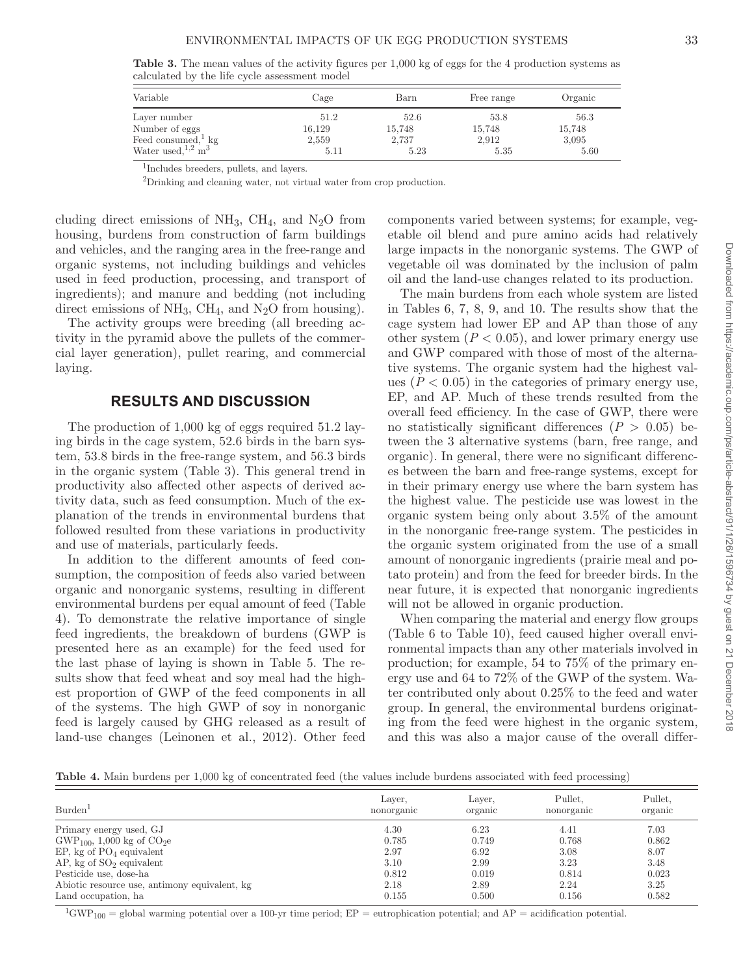**Table 3.** The mean values of the activity figures per 1,000 kg of eggs for the 4 production systems as calculated by the life cycle assessment model

| Variable                         | Cage   | Barn   | Free range | Organic |
|----------------------------------|--------|--------|------------|---------|
| Layer number                     | 51.2   | 52.6   | 53.8       | 56.3    |
| Number of eggs                   | 16,129 | 15,748 | 15.748     | 15,748  |
| Feed consumed, $kg$              | 2,559  | 2,737  | 2,912      | 3,095   |
| Water used, $1,2$ m <sup>3</sup> | 5.11   | 5.23   | 5.35       | 5.60    |

1Includes breeders, pullets, and layers.

2Drinking and cleaning water, not virtual water from crop production.

cluding direct emissions of  $NH_3$ , CH<sub>4</sub>, and N<sub>2</sub>O from housing, burdens from construction of farm buildings and vehicles, and the ranging area in the free-range and organic systems, not including buildings and vehicles used in feed production, processing, and transport of ingredients); and manure and bedding (not including direct emissions of  $NH_3$ , CH<sub>4</sub>, and N<sub>2</sub>O from housing).

The activity groups were breeding (all breeding activity in the pyramid above the pullets of the commercial layer generation), pullet rearing, and commercial laying.

### **RESULTS AND DISCUSSION**

The production of 1,000 kg of eggs required 51.2 laying birds in the cage system, 52.6 birds in the barn system, 53.8 birds in the free-range system, and 56.3 birds in the organic system (Table 3). This general trend in productivity also affected other aspects of derived activity data, such as feed consumption. Much of the explanation of the trends in environmental burdens that followed resulted from these variations in productivity and use of materials, particularly feeds.

In addition to the different amounts of feed consumption, the composition of feeds also varied between organic and nonorganic systems, resulting in different environmental burdens per equal amount of feed (Table 4). To demonstrate the relative importance of single feed ingredients, the breakdown of burdens (GWP is presented here as an example) for the feed used for the last phase of laying is shown in Table 5. The results show that feed wheat and soy meal had the highest proportion of GWP of the feed components in all of the systems. The high GWP of soy in nonorganic feed is largely caused by GHG released as a result of land-use changes (Leinonen et al., 2012). Other feed components varied between systems; for example, vegetable oil blend and pure amino acids had relatively large impacts in the nonorganic systems. The GWP of vegetable oil was dominated by the inclusion of palm oil and the land-use changes related to its production.

The main burdens from each whole system are listed in Tables 6, 7, 8, 9, and 10. The results show that the cage system had lower EP and AP than those of any other system  $(P < 0.05)$ , and lower primary energy use and GWP compared with those of most of the alternative systems. The organic system had the highest values  $(P < 0.05)$  in the categories of primary energy use, EP, and AP. Much of these trends resulted from the overall feed efficiency. In the case of GWP, there were no statistically significant differences  $(P > 0.05)$  between the 3 alternative systems (barn, free range, and organic). In general, there were no significant differences between the barn and free-range systems, except for in their primary energy use where the barn system has the highest value. The pesticide use was lowest in the organic system being only about 3.5% of the amount in the nonorganic free-range system. The pesticides in the organic system originated from the use of a small amount of nonorganic ingredients (prairie meal and potato protein) and from the feed for breeder birds. In the near future, it is expected that nonorganic ingredients will not be allowed in organic production.

When comparing the material and energy flow groups (Table 6 to Table 10), feed caused higher overall environmental impacts than any other materials involved in production; for example, 54 to 75% of the primary energy use and 64 to 72% of the GWP of the system. Water contributed only about 0.25% to the feed and water group. In general, the environmental burdens originating from the feed were highest in the organic system, and this was also a major cause of the overall differ-

**Table 4.** Main burdens per 1,000 kg of concentrated feed (the values include burdens associated with feed processing)

| Burden <sup>1</sup>                           | Layer,<br>nonorganic | Layer,<br>organic | Pullet.<br>nonorganic | Pullet,<br>organic |
|-----------------------------------------------|----------------------|-------------------|-----------------------|--------------------|
| Primary energy used, GJ                       | 4.30                 | 6.23              | 4.41                  | 7.03               |
| $GWP_{100}$ , 1,000 kg of $CO2e$              | 0.785                | 0.749             | 0.768                 | 0.862              |
| EP, kg of $PO4$ equivalent                    | 2.97                 | 6.92              | 3.08                  | 8.07               |
| $AP$ , kg of $SO2$ equivalent                 | 3.10                 | 2.99              | 3.23                  | 3.48               |
| Pesticide use, dose-ha                        | 0.812                | 0.019             | 0.814                 | 0.023              |
| Abiotic resource use, antimony equivalent, kg | 2.18                 | 2.89              | 2.24                  | 3.25               |
| Land occupation, ha                           | 0.155                | 0.500             | 0.156                 | 0.582              |

<sup>1</sup>GWP<sub>100</sub> = global warming potential over a 100-yr time period; EP = eutrophication potential; and AP = acidification potential.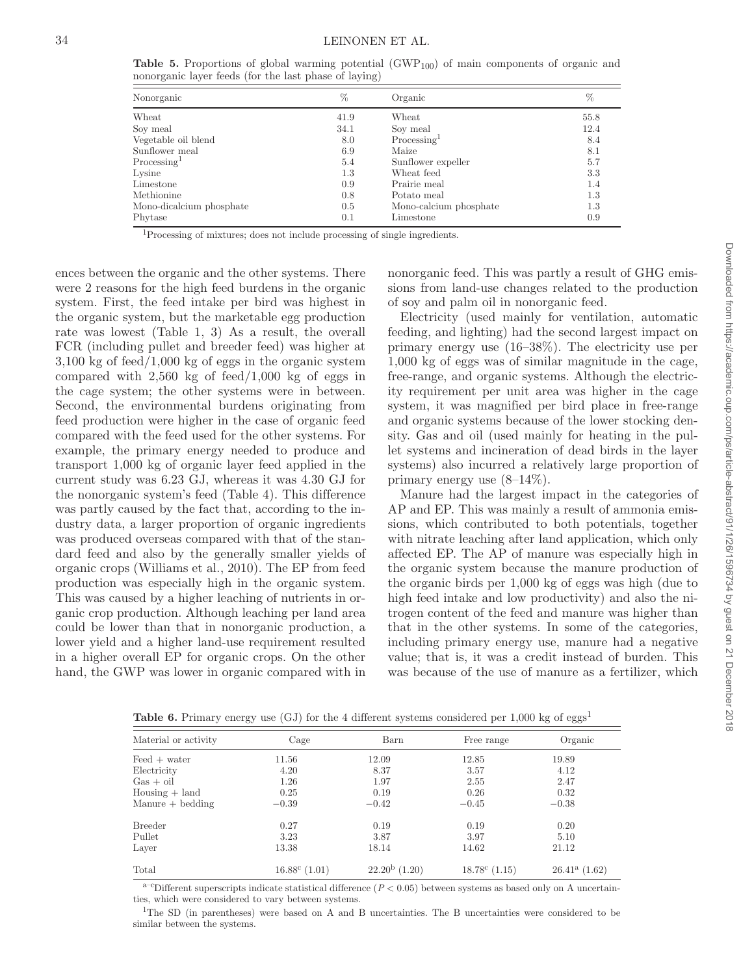**Table 5.** Proportions of global warming potential (GWP<sub>100</sub>) of main components of organic and nonorganic layer feeds (for the last phase of laying)

| Nonorganic               | $\%$ | Organic                | $\%$ |
|--------------------------|------|------------------------|------|
| Wheat                    | 41.9 | Wheat                  | 55.8 |
| Soy meal                 | 34.1 | Soy meal               | 12.4 |
| Vegetable oil blend      | 8.0  | $\text{Processing}^1$  | 8.4  |
| Sunflower meal           | 6.9  | Maize                  | 8.1  |
| $\rm Processing1$        | 5.4  | Sunflower expeller     | 5.7  |
| Lysine                   | 1.3  | Wheat feed             | 3.3  |
| Limestone                | 0.9  | Prairie meal           | 1.4  |
| Methionine               | 0.8  | Potato meal            | 1.3  |
| Mono-dicalcium phosphate | 0.5  | Mono-calcium phosphate | 1.3  |
| Phytase                  | 0.1  | Limestone              | 0.9  |

1Processing of mixtures; does not include processing of single ingredients.

ences between the organic and the other systems. There were 2 reasons for the high feed burdens in the organic system. First, the feed intake per bird was highest in the organic system, but the marketable egg production rate was lowest (Table 1, 3) As a result, the overall FCR (including pullet and breeder feed) was higher at 3,100 kg of feed/1,000 kg of eggs in the organic system compared with  $2,560 \text{ kg}$  of feed/1,000 kg of eggs in the cage system; the other systems were in between. Second, the environmental burdens originating from feed production were higher in the case of organic feed compared with the feed used for the other systems. For example, the primary energy needed to produce and transport 1,000 kg of organic layer feed applied in the current study was 6.23 GJ, whereas it was 4.30 GJ for the nonorganic system's feed (Table 4). This difference was partly caused by the fact that, according to the industry data, a larger proportion of organic ingredients was produced overseas compared with that of the standard feed and also by the generally smaller yields of organic crops (Williams et al., 2010). The EP from feed production was especially high in the organic system. This was caused by a higher leaching of nutrients in organic crop production. Although leaching per land area could be lower than that in nonorganic production, a lower yield and a higher land-use requirement resulted in a higher overall EP for organic crops. On the other hand, the GWP was lower in organic compared with in nonorganic feed. This was partly a result of GHG emissions from land-use changes related to the production of soy and palm oil in nonorganic feed.

Electricity (used mainly for ventilation, automatic feeding, and lighting) had the second largest impact on primary energy use (16–38%). The electricity use per 1,000 kg of eggs was of similar magnitude in the cage, free-range, and organic systems. Although the electricity requirement per unit area was higher in the cage system, it was magnified per bird place in free-range and organic systems because of the lower stocking density. Gas and oil (used mainly for heating in the pullet systems and incineration of dead birds in the layer systems) also incurred a relatively large proportion of primary energy use  $(8-14\%)$ .

Manure had the largest impact in the categories of AP and EP. This was mainly a result of ammonia emissions, which contributed to both potentials, together with nitrate leaching after land application, which only affected EP. The AP of manure was especially high in the organic system because the manure production of the organic birds per 1,000 kg of eggs was high (due to high feed intake and low productivity) and also the nitrogen content of the feed and manure was higher than that in the other systems. In some of the categories, including primary energy use, manure had a negative value; that is, it was a credit instead of burden. This was because of the use of manure as a fertilizer, which

| Material or activity            | Cage               | Barn             | Free range             | Organic         |
|---------------------------------|--------------------|------------------|------------------------|-----------------|
| $\text{Feed} + \text{water}$    | 11.56              | 12.09            | 12.85                  | 19.89           |
| Electricity                     | 4.20               | 8.37             | 3.57                   | 4.12            |
| $Gas + oil$                     | 1.26               | 1.97             | 2.55                   | 2.47            |
| $H \text{ousing} + \text{land}$ | 0.25               | 0.19             | 0.26                   | 0.32            |
| $M$ anure $+$ bedding           | $-0.39$            | $-0.42$          | $-0.45$                | $-0.38$         |
| <b>Breeder</b>                  | 0.27               | 0.19             | 0.19                   | 0.20            |
| Pullet                          | 3.23               | 3.87             | 3.97                   | 5.10            |
| Layer                           | 13.38              | 18.14            | 14.62                  | 21.12           |
| Total                           | $16.88^c$ $(1.01)$ | $22.20^b$ (1.20) | $18.78^{\circ}$ (1.15) | $26.41a$ (1.62) |

Table 6. Primary energy use (GJ) for the 4 different systems considered per 1,000 kg of eggs<sup>1</sup>

 $a$ <sup>-c</sup>Different superscripts indicate statistical difference ( $P < 0.05$ ) between systems as based only on A uncertainties, which were considered to vary between systems.

1The SD (in parentheses) were based on A and B uncertainties. The B uncertainties were considered to be similar between the systems.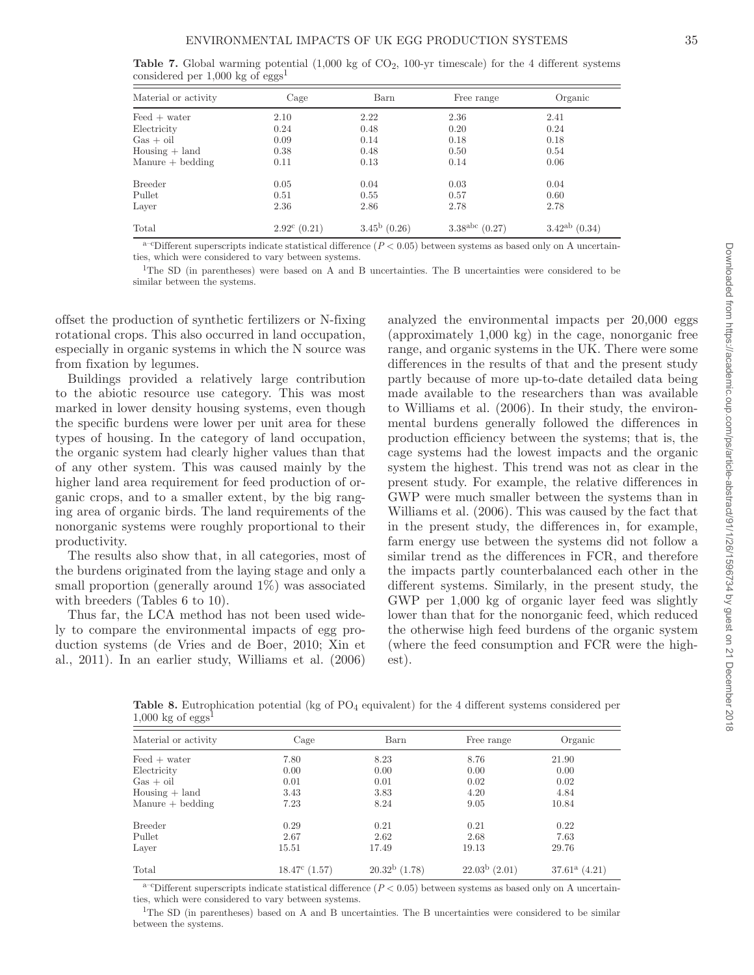| Material or activity            | Cage | Barn | Free range | Organic |
|---------------------------------|------|------|------------|---------|
| $\text{Feed}$ + water           | 2.10 | 2.22 | 2.36       | 2.41    |
| Electricity                     | 0.24 | 0.48 | 0.20       | 0.24    |
| $Gas + oil$                     | 0.09 | 0.14 | 0.18       | 0.18    |
| $H \text{ousing} + \text{land}$ | 0.38 | 0.48 | 0.50       | 0.54    |
| $M$ anure $+$ bedding           | 0.11 | 0.13 | 0.14       | 0.06    |
| <b>Breeder</b>                  | 0.05 | 0.04 | 0.03       | 0.04    |
| Pullet                          | 0.51 | 0.55 | 0.57       | 0.60    |
| Layer                           | 2.36 | 2.86 | 2.78       | 2.78    |

**Table 7.** Global warming potential (1,000 kg of CO<sub>2</sub>, 100-yr timescale) for the 4 different systems

 $a$ <sup>-c</sup>Different superscripts indicate statistical difference ( $P < 0.05$ ) between systems as based only on A uncertainties, which were considered to vary between systems.

Total 2.92<sup>c</sup> (0.21)  $3.45^{b}$  (0.26)  $3.38^{abc}$  (0.27)  $3.42^{ab}$  (0.34)

1The SD (in parentheses) were based on A and B uncertainties. The B uncertainties were considered to be similar between the systems.

offset the production of synthetic fertilizers or N-fixing rotational crops. This also occurred in land occupation, especially in organic systems in which the N source was from fixation by legumes.

Buildings provided a relatively large contribution to the abiotic resource use category. This was most marked in lower density housing systems, even though the specific burdens were lower per unit area for these types of housing. In the category of land occupation, the organic system had clearly higher values than that of any other system. This was caused mainly by the higher land area requirement for feed production of organic crops, and to a smaller extent, by the big ranging area of organic birds. The land requirements of the nonorganic systems were roughly proportional to their productivity.

The results also show that, in all categories, most of the burdens originated from the laying stage and only a small proportion (generally around 1%) was associated with breeders (Tables 6 to 10).

Thus far, the LCA method has not been used widely to compare the environmental impacts of egg production systems (de Vries and de Boer, 2010; Xin et al., 2011). In an earlier study, Williams et al. (2006) analyzed the environmental impacts per 20,000 eggs (approximately 1,000 kg) in the cage, nonorganic free range, and organic systems in the UK. There were some differences in the results of that and the present study partly because of more up-to-date detailed data being made available to the researchers than was available to Williams et al. (2006). In their study, the environmental burdens generally followed the differences in production efficiency between the systems; that is, the cage systems had the lowest impacts and the organic system the highest. This trend was not as clear in the present study. For example, the relative differences in GWP were much smaller between the systems than in Williams et al. (2006). This was caused by the fact that in the present study, the differences in, for example, farm energy use between the systems did not follow a similar trend as the differences in FCR, and therefore the impacts partly counterbalanced each other in the different systems. Similarly, in the present study, the GWP per 1,000 kg of organic layer feed was slightly lower than that for the nonorganic feed, which reduced the otherwise high feed burdens of the organic system (where the feed consumption and FCR were the highest).

Table 8. Eutrophication potential (kg of PO<sub>4</sub> equivalent) for the 4 different systems considered per  $1,000 \text{ kg of eggs}$ 

| Material or activity            | Cage                   | Barn                   | Free range         | Organic         |
|---------------------------------|------------------------|------------------------|--------------------|-----------------|
| $\text{Feed} + \text{water}$    | 7.80                   | 8.23                   | 8.76               | 21.90           |
| Electricity                     | 0.00                   | 0.00                   | 0.00               | 0.00            |
| $Gas + oil$                     | 0.01                   | 0.01                   | 0.02               | 0.02            |
| $H \text{ousing} + \text{land}$ | 3.43                   | 3.83                   | 4.20               | 4.84            |
| $M$ anure $+$ bedding           | 7.23                   | 8.24                   | 9.05               | 10.84           |
| <b>Breeder</b>                  | 0.29                   | 0.21                   | 0.21               | 0.22            |
| Pullet                          | 2.67                   | 2.62                   | 2.68               | 7.63            |
| Layer                           | 15.51                  | 17.49                  | 19.13              | 29.76           |
| Total                           | $18.47^{\circ}$ (1.57) | $20.32^{\rm b}$ (1.78) | $22.03^b$ $(2.01)$ | $37.61a$ (4.21) |

 $a$ –cDifferent superscripts indicate statistical difference ( $P < 0.05$ ) between systems as based only on A uncertainties, which were considered to vary between systems.

<sup>1</sup>The SD (in parentheses) based on A and B uncertainties. The B uncertainties were considered to be similar between the systems.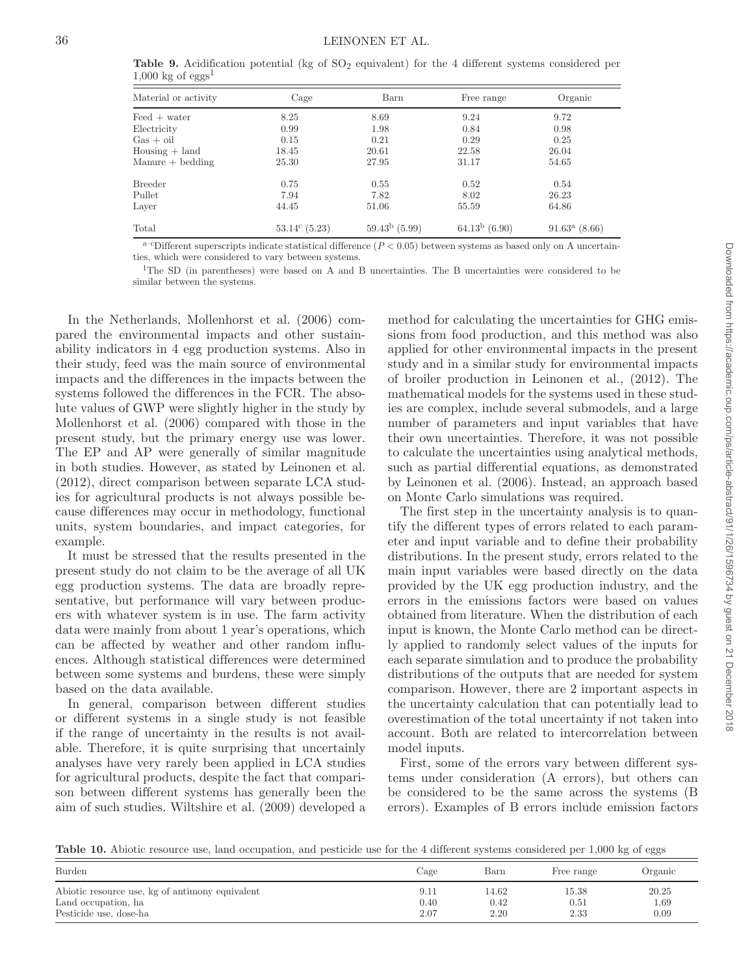**Table 9.** Acidification potential (kg of  $SO_2$  equivalent) for the 4 different systems considered per  $1,000 \text{ kg of eggs}^1$  $\equiv$ 

| Material or activity             | Cage             | Barn             | Free range       | Organic                |
|----------------------------------|------------------|------------------|------------------|------------------------|
| $\text{Feed} + \text{water}$     | 8.25             | 8.69             | 9.24             | 9.72                   |
| Electricity                      | 0.99             | 1.98             | 0.84             | 0.98                   |
| $Gas + oil$                      | 0.15             | 0.21             | 0.29             | 0.25                   |
| $H \text{ousing} + \text{land}$  | 18.45            | 20.61            | 22.58            | 26.04                  |
| $\text{Manure} + \text{bedding}$ | 25.30            | 27.95            | 31.17            | 54.65                  |
| <b>Breeder</b>                   | 0.75             | 0.55             | 0.52             | 0.54                   |
| Pullet                           | 7.94             | 7.82             | 8.02             | 26.23                  |
| Layer                            | 44.45            | 51.06            | 55.59            | 64.86                  |
| Total                            | $53.14^c$ (5.23) | $59.43^b$ (5.99) | $64.13^b$ (6.90) | $91.63^{\rm a}$ (8.66) |

 $a$ <sup>-c</sup>Different superscripts indicate statistical difference ( $P < 0.05$ ) between systems as based only on A uncertainties, which were considered to vary between systems.

1The SD (in parentheses) were based on A and B uncertainties. The B uncertainties were considered to be similar between the systems.

In the Netherlands, Mollenhorst et al. (2006) compared the environmental impacts and other sustainability indicators in 4 egg production systems. Also in their study, feed was the main source of environmental impacts and the differences in the impacts between the systems followed the differences in the FCR. The absolute values of GWP were slightly higher in the study by Mollenhorst et al. (2006) compared with those in the present study, but the primary energy use was lower. The EP and AP were generally of similar magnitude in both studies. However, as stated by Leinonen et al. (2012), direct comparison between separate LCA studies for agricultural products is not always possible because differences may occur in methodology, functional units, system boundaries, and impact categories, for example.

It must be stressed that the results presented in the present study do not claim to be the average of all UK egg production systems. The data are broadly representative, but performance will vary between producers with whatever system is in use. The farm activity data were mainly from about 1 year's operations, which can be affected by weather and other random influences. Although statistical differences were determined between some systems and burdens, these were simply based on the data available.

In general, comparison between different studies or different systems in a single study is not feasible if the range of uncertainty in the results is not available. Therefore, it is quite surprising that uncertainly analyses have very rarely been applied in LCA studies for agricultural products, despite the fact that comparison between different systems has generally been the aim of such studies. Wiltshire et al. (2009) developed a method for calculating the uncertainties for GHG emissions from food production, and this method was also applied for other environmental impacts in the present study and in a similar study for environmental impacts of broiler production in Leinonen et al., (2012). The mathematical models for the systems used in these studies are complex, include several submodels, and a large number of parameters and input variables that have their own uncertainties. Therefore, it was not possible to calculate the uncertainties using analytical methods, such as partial differential equations, as demonstrated by Leinonen et al. (2006). Instead, an approach based on Monte Carlo simulations was required.

The first step in the uncertainty analysis is to quantify the different types of errors related to each parameter and input variable and to define their probability distributions. In the present study, errors related to the main input variables were based directly on the data provided by the UK egg production industry, and the errors in the emissions factors were based on values obtained from literature. When the distribution of each input is known, the Monte Carlo method can be directly applied to randomly select values of the inputs for each separate simulation and to produce the probability distributions of the outputs that are needed for system comparison. However, there are 2 important aspects in the uncertainty calculation that can potentially lead to overestimation of the total uncertainty if not taken into account. Both are related to intercorrelation between model inputs.

First, some of the errors vary between different systems under consideration (A errors), but others can be considered to be the same across the systems (B errors). Examples of B errors include emission factors

Table 10. Abiotic resource use, land occupation, and pesticide use for the 4 different systems considered per 1,000 kg of eggs

| Burden                                          | Cage | Barn  | Free range | Organic |
|-------------------------------------------------|------|-------|------------|---------|
| Abiotic resource use, kg of antimony equivalent | 9.11 | 14.62 | 15.38      | 20.25   |
| Land occupation, ha                             | 0.40 | 0.42  | 0.51       | 1.69    |
| Pesticide use, dose-ha                          | 2.07 | 2.20  | 2.33       | 0.09    |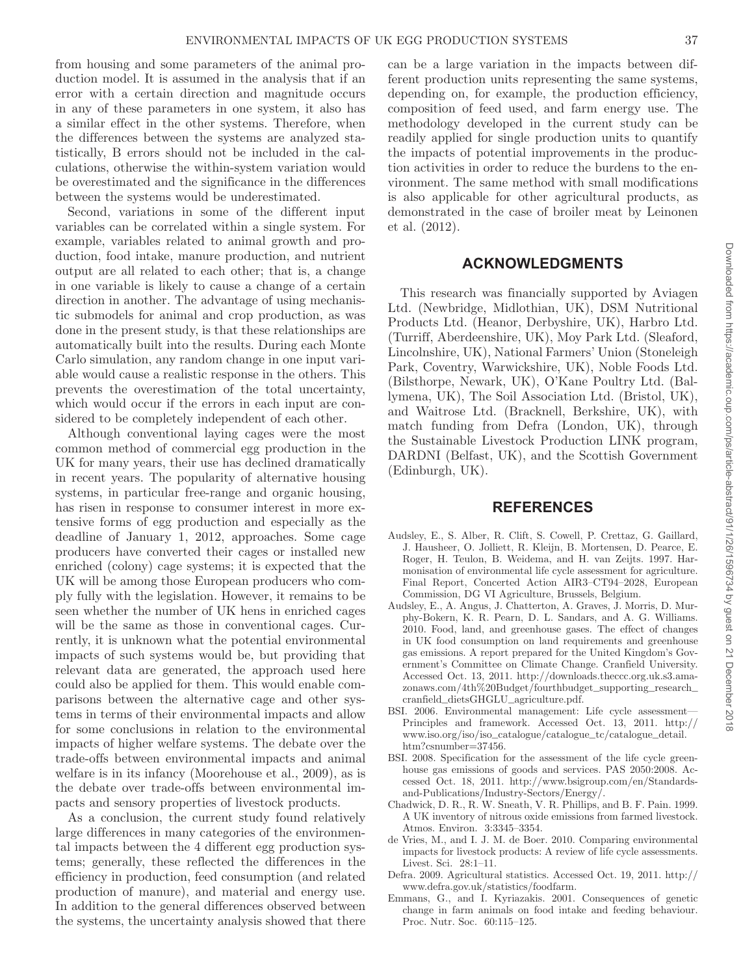from housing and some parameters of the animal production model. It is assumed in the analysis that if an error with a certain direction and magnitude occurs in any of these parameters in one system, it also has a similar effect in the other systems. Therefore, when the differences between the systems are analyzed statistically, B errors should not be included in the calculations, otherwise the within-system variation would be overestimated and the significance in the differences between the systems would be underestimated.

Second, variations in some of the different input variables can be correlated within a single system. For example, variables related to animal growth and production, food intake, manure production, and nutrient output are all related to each other; that is, a change in one variable is likely to cause a change of a certain direction in another. The advantage of using mechanistic submodels for animal and crop production, as was done in the present study, is that these relationships are automatically built into the results. During each Monte Carlo simulation, any random change in one input variable would cause a realistic response in the others. This prevents the overestimation of the total uncertainty, which would occur if the errors in each input are considered to be completely independent of each other.

Although conventional laying cages were the most common method of commercial egg production in the UK for many years, their use has declined dramatically in recent years. The popularity of alternative housing systems, in particular free-range and organic housing, has risen in response to consumer interest in more extensive forms of egg production and especially as the deadline of January 1, 2012, approaches. Some cage producers have converted their cages or installed new enriched (colony) cage systems; it is expected that the UK will be among those European producers who comply fully with the legislation. However, it remains to be seen whether the number of UK hens in enriched cages will be the same as those in conventional cages. Currently, it is unknown what the potential environmental impacts of such systems would be, but providing that relevant data are generated, the approach used here could also be applied for them. This would enable comparisons between the alternative cage and other systems in terms of their environmental impacts and allow for some conclusions in relation to the environmental impacts of higher welfare systems. The debate over the trade-offs between environmental impacts and animal welfare is in its infancy (Moorehouse et al., 2009), as is the debate over trade-offs between environmental impacts and sensory properties of livestock products.

As a conclusion, the current study found relatively large differences in many categories of the environmental impacts between the 4 different egg production systems; generally, these reflected the differences in the efficiency in production, feed consumption (and related production of manure), and material and energy use. In addition to the general differences observed between the systems, the uncertainty analysis showed that there can be a large variation in the impacts between different production units representing the same systems, depending on, for example, the production efficiency, composition of feed used, and farm energy use. The methodology developed in the current study can be readily applied for single production units to quantify the impacts of potential improvements in the production activities in order to reduce the burdens to the environment. The same method with small modifications is also applicable for other agricultural products, as demonstrated in the case of broiler meat by Leinonen et al. (2012).

### **ACKNOWLEDGMENTS**

This research was financially supported by Aviagen Ltd. (Newbridge, Midlothian, UK), DSM Nutritional Products Ltd. (Heanor, Derbyshire, UK), Harbro Ltd. (Turriff, Aberdeenshire, UK), Moy Park Ltd. (Sleaford, Lincolnshire, UK), National Farmers' Union (Stoneleigh Park, Coventry, Warwickshire, UK), Noble Foods Ltd. (Bilsthorpe, Newark, UK), O'Kane Poultry Ltd. (Ballymena, UK), The Soil Association Ltd. (Bristol, UK), and Waitrose Ltd. (Bracknell, Berkshire, UK), with match funding from Defra (London, UK), through the Sustainable Livestock Production LINK program, DARDNI (Belfast, UK), and the Scottish Government (Edinburgh, UK).

### **REFERENCES**

- Audsley, E., S. Alber, R. Clift, S. Cowell, P. Crettaz, G. Gaillard, J. Hausheer, O. Jolliett, R. Kleijn, B. Mortensen, D. Pearce, E. Roger, H. Teulon, B. Weidema, and H. van Zeijts. 1997. Harmonisation of environmental life cycle assessment for agriculture. Final Report, Concerted Action AIR3–CT94–2028, European Commission, DG VI Agriculture, Brussels, Belgium.
- Audsley, E., A. Angus, J. Chatterton, A. Graves, J. Morris, D. Murphy-Bokern, K. R. Pearn, D. L. Sandars, and A. G. Williams. 2010. Food, land, and greenhouse gases. The effect of changes in UK food consumption on land requirements and greenhouse gas emissions. A report prepared for the United Kingdom's Government's Committee on Climate Change. Cranfield University. Accessed Oct. 13, 2011. http://downloads.theccc.org.uk.s3.amazonaws.com/4th%20Budget/fourthbudget\_supporting\_research\_ cranfield\_dietsGHGLU\_agriculture.pdf.
- BSI. 2006. Environmental management: Life cycle assessment— Principles and framework. Accessed Oct. 13, 2011. http:// www.iso.org/iso/iso\_catalogue/catalogue\_tc/catalogue\_detail. htm?csnumber=37456.
- BSI. 2008. Specification for the assessment of the life cycle greenhouse gas emissions of goods and services. PAS 2050:2008. Accessed Oct. 18, 2011. http://www.bsigroup.com/en/Standardsand-Publications/Industry-Sectors/Energy/.
- Chadwick, D. R., R. W. Sneath, V. R. Phillips, and B. F. Pain. 1999. A UK inventory of nitrous oxide emissions from farmed livestock. Atmos. Environ. 3:3345–3354.
- de Vries, M., and I. J. M. de Boer. 2010. Comparing environmental impacts for livestock products: A review of life cycle assessments. Livest. Sci. 28:1–11.
- Defra. 2009. Agricultural statistics. Accessed Oct. 19, 2011. http:// www.defra.gov.uk/statistics/foodfarm.
- Emmans, G., and I. Kyriazakis. 2001. Consequences of genetic change in farm animals on food intake and feeding behaviour. Proc. Nutr. Soc. 60:115–125.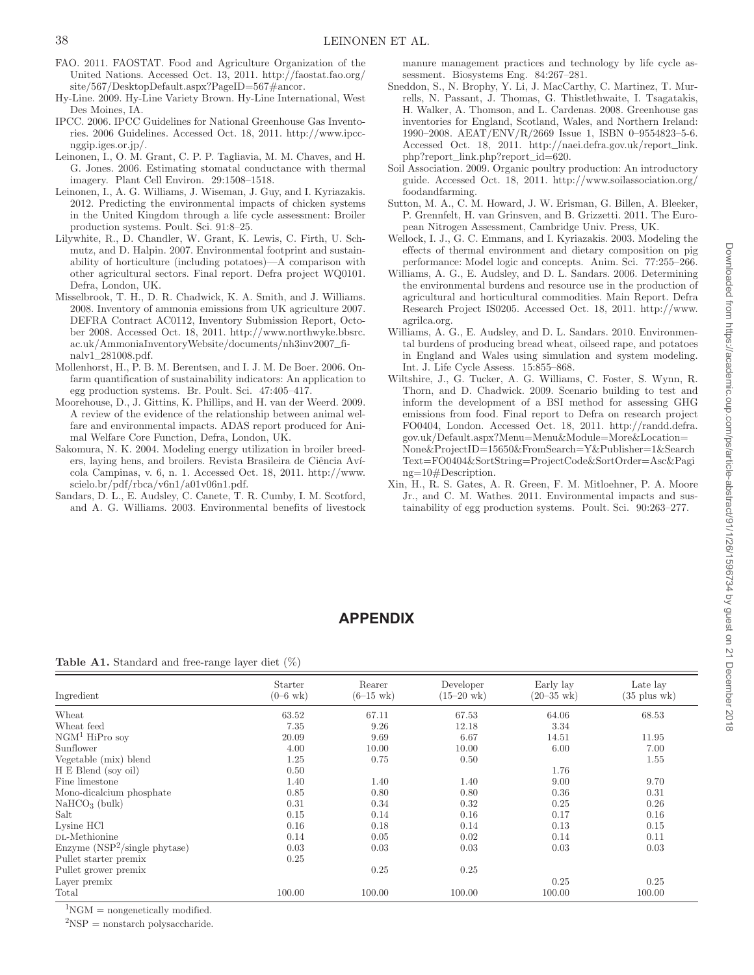- FAO. 2011. FAOSTAT. Food and Agriculture Organization of the United Nations. Accessed Oct. 13, 2011. http://faostat.fao.org/ site/567/DesktopDefault.aspx?PageID=567#ancor.
- Hy-Line. 2009. Hy-Line Variety Brown. Hy-Line International, West Des Moines, IA.
- IPCC. 2006. IPCC Guidelines for National Greenhouse Gas Inventories. 2006 Guidelines. Accessed Oct. 18, 2011. http://www.ipccnggip.iges.or.jp/.
- Leinonen, I., O. M. Grant, C. P. P. Tagliavia, M. M. Chaves, and H. G. Jones. 2006. Estimating stomatal conductance with thermal imagery. Plant Cell Environ. 29:1508–1518.
- Leinonen, I., A. G. Williams, J. Wiseman, J. Guy, and I. Kyriazakis. 2012. Predicting the environmental impacts of chicken systems in the United Kingdom through a life cycle assessment: Broiler production systems. Poult. Sci. 91:8–25.
- Lilywhite, R., D. Chandler, W. Grant, K. Lewis, C. Firth, U. Schmutz, and D. Halpin. 2007. Environmental footprint and sustainability of horticulture (including potatoes)—A comparison with other agricultural sectors. Final report. Defra project WQ0101. Defra, London, UK.
- Misselbrook, T. H., D. R. Chadwick, K. A. Smith, and J. Williams. 2008. Inventory of ammonia emissions from UK agriculture 2007. DEFRA Contract AC0112, Inventory Submission Report, October 2008. Accessed Oct. 18, 2011. http://www.northwyke.bbsrc. ac.uk/AmmoniaInventoryWebsite/documents/nh3inv2007\_finalv1\_281008.pdf.
- Mollenhorst, H., P. B. M. Berentsen, and I. J. M. De Boer. 2006. Onfarm quantification of sustainability indicators: An application to egg production systems. Br. Poult. Sci. 47:405–417.
- Moorehouse, D., J. Gittins, K. Phillips, and H. van der Weerd. 2009. A review of the evidence of the relationship between animal welfare and environmental impacts. ADAS report produced for Animal Welfare Core Function, Defra, London, UK.
- Sakomura, N. K. 2004. Modeling energy utilization in broiler breeders, laying hens, and broilers. Revista Brasileira de Ciência Avícola Campinas, v. 6, n. 1. Accessed Oct. 18, 2011. http://www. scielo.br/pdf/rbca/v6n1/a01v06n1.pdf.
- Sandars, D. L., E. Audsley, C. Canete, T. R. Cumby, I. M. Scotford, and A. G. Williams. 2003. Environmental benefits of livestock

manure management practices and technology by life cycle assessment. Biosystems Eng. 84:267–281.

- Sneddon, S., N. Brophy, Y. Li, J. MacCarthy, C. Martinez, T. Murrells, N. Passant, J. Thomas, G. Thistlethwaite, I. Tsagatakis, H. Walker, A. Thomson, and L. Cardenas. 2008. Greenhouse gas inventories for England, Scotland, Wales, and Northern Ireland: 1990–2008. AEAT/ENV/R/2669 Issue 1, ISBN 0–9554823–5-6. Accessed Oct. 18, 2011. http://naei.defra.gov.uk/report\_link. php?report\_link.php?report\_id=620.
- Soil Association. 2009. Organic poultry production: An introductory guide. Accessed Oct. 18, 2011. http://www.soilassociation.org/ foodandfarming.
- Sutton, M. A., C. M. Howard, J. W. Erisman, G. Billen, A. Bleeker, P. Grennfelt, H. van Grinsven, and B. Grizzetti. 2011. The European Nitrogen Assessment, Cambridge Univ. Press, UK.
- Wellock, I. J., G. C. Emmans, and I. Kyriazakis. 2003. Modeling the effects of thermal environment and dietary composition on pig performance: Model logic and concepts. Anim. Sci. 77:255–266.
- Williams, A. G., E. Audsley, and D. L. Sandars. 2006. Determining the environmental burdens and resource use in the production of agricultural and horticultural commodities. Main Report. Defra Research Project IS0205. Accessed Oct. 18, 2011. http://www. agrilca.org.
- Williams, A. G., E. Audsley, and D. L. Sandars. 2010. Environmental burdens of producing bread wheat, oilseed rape, and potatoes in England and Wales using simulation and system modeling. Int. J. Life Cycle Assess. 15:855–868.
- Wiltshire, J., G. Tucker, A. G. Williams, C. Foster, S. Wynn, R. Thorn, and D. Chadwick. 2009. Scenario building to test and inform the development of a BSI method for assessing GHG emissions from food. Final report to Defra on research project FO0404, London. Accessed Oct. 18, 2011. http://randd.defra. gov.uk/Default.aspx?Menu=Menu&Module=More&Location= None&ProjectID=15650&FromSearch=Y&Publisher=1&Search Text=FO0404&SortString=ProjectCode&SortOrder=Asc&Pagi ng=10#Description.
- Xin, H., R. S. Gates, A. R. Green, F. M. Mitloehner, P. A. Moore Jr., and C. M. Wathes. 2011. Environmental impacts and sustainability of egg production systems. Poult. Sci. 90:263–277.

# **APPENDIX**

**Table A1.** Standard and free-range layer diet (%)

| Ingredient                      | Starter<br>$(0 - 6 \text{ wk})$ | Rearer<br>$(6-15 \text{ wk})$ | Developer<br>$(15-20 \text{ wk})$ | Early lay<br>$(20 - 35 \text{ wk})$ | Late lay<br>$(35 \text{ plus wk})$ |
|---------------------------------|---------------------------------|-------------------------------|-----------------------------------|-------------------------------------|------------------------------------|
| Wheat                           | 63.52                           | 67.11                         | 67.53                             | 64.06                               | 68.53                              |
| Wheat feed                      | 7.35                            | 9.26                          | 12.18                             | 3.34                                |                                    |
| $NGM1$ HiPro soy                | 20.09                           | 9.69                          | 6.67                              | 14.51                               | 11.95                              |
| Sunflower                       | 4.00                            | 10.00                         | 10.00                             | 6.00                                | 7.00                               |
| Vegetable (mix) blend           | 1.25                            | 0.75                          | 0.50                              |                                     | 1.55                               |
| H E Blend (soy oil)             | 0.50                            |                               |                                   | 1.76                                |                                    |
| Fine limestone                  | 1.40                            | 1.40                          | 1.40                              | 9.00                                | 9.70                               |
| Mono-dicalcium phosphate        | 0.85                            | 0.80                          | 0.80                              | 0.36                                | 0.31                               |
| $NaHCO3$ (bulk)                 | 0.31                            | 0.34                          | 0.32                              | 0.25                                | 0.26                               |
| Salt                            | 0.15                            | 0.14                          | 0.16                              | 0.17                                | 0.16                               |
| Lysine HCl                      | 0.16                            | 0.18                          | 0.14                              | 0.13                                | 0.15                               |
| DL-Methionine                   | 0.14                            | 0.05                          | 0.02                              | 0.14                                | 0.11                               |
| Enzyme $(NSP2/single physical)$ | 0.03                            | 0.03                          | 0.03                              | 0.03                                | 0.03                               |
| Pullet starter premix           | 0.25                            |                               |                                   |                                     |                                    |
| Pullet grower premix            |                                 | 0.25                          | 0.25                              |                                     |                                    |
| Layer premix                    |                                 |                               |                                   | 0.25                                | 0.25                               |
| Total                           | 100.00                          | 100.00                        | 100.00                            | 100.00                              | 100.00                             |

 ${}^{1}\text{NGM}$  = nongenetically modified.

 ${}^{2}NSP =$  nonstarch polysaccharide.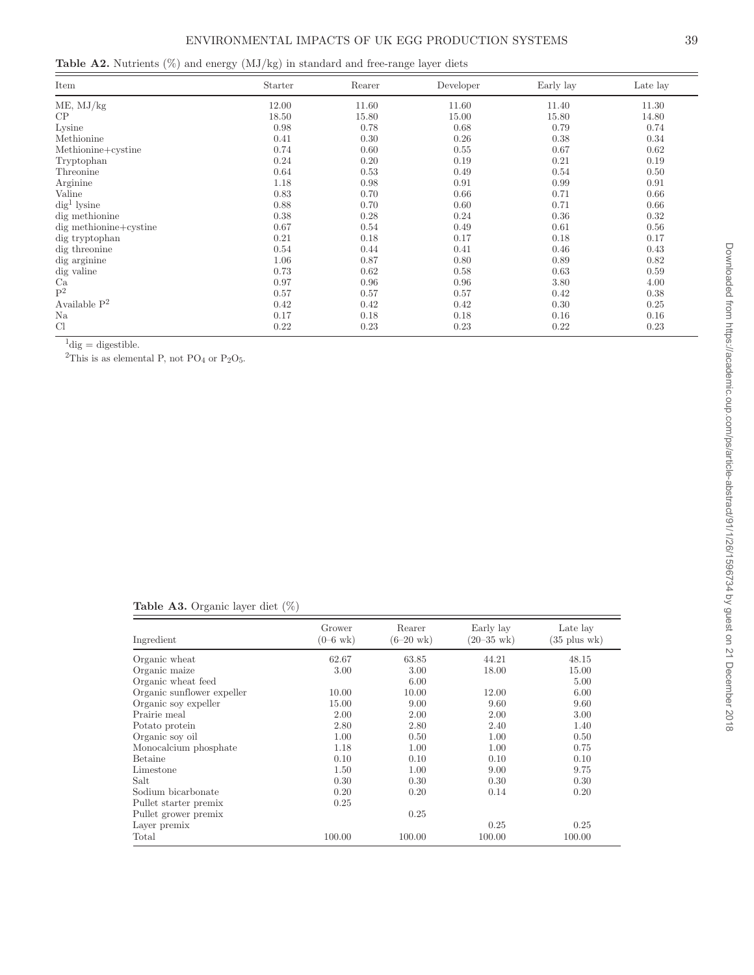| <b>Table A2.</b> Nutrients $(\%)$ and energy $(MJ/kg)$ in standard and free-range layer diets |  |  |  |  |  |  |  |  |
|-----------------------------------------------------------------------------------------------|--|--|--|--|--|--|--|--|
|-----------------------------------------------------------------------------------------------|--|--|--|--|--|--|--|--|

| Item                   | Starter | Rearer | Developer | Early lay | Late lay |
|------------------------|---------|--------|-----------|-----------|----------|
| ME, MJ/kg              | 12.00   | 11.60  | 11.60     | 11.40     | 11.30    |
| CP                     | 18.50   | 15.80  | 15.00     | 15.80     | 14.80    |
| Lysine                 | 0.98    | 0.78   | 0.68      | 0.79      | 0.74     |
| Methionine             | 0.41    | 0.30   | 0.26      | 0.38      | 0.34     |
| Methionine+cystine     | 0.74    | 0.60   | 0.55      | 0.67      | 0.62     |
| Tryptophan             | 0.24    | 0.20   | 0.19      | 0.21      | 0.19     |
| Threonine              | 0.64    | 0.53   | 0.49      | 0.54      | 0.50     |
| Arginine               | 1.18    | 0.98   | 0.91      | 0.99      | 0.91     |
| Valine                 | 0.83    | 0.70   | 0.66      | 0.71      | 0.66     |
| $\text{dig}^1$ lysine  | 0.88    | 0.70   | 0.60      | 0.71      | 0.66     |
| dig methionine         | 0.38    | 0.28   | 0.24      | 0.36      | 0.32     |
| dig methionine+cystine | 0.67    | 0.54   | 0.49      | 0.61      | 0.56     |
| dig tryptophan         | 0.21    | 0.18   | 0.17      | 0.18      | 0.17     |
| dig threonine          | 0.54    | 0.44   | 0.41      | 0.46      | 0.43     |
| dig arginine           | 1.06    | 0.87   | 0.80      | 0.89      | 0.82     |
| dig valine             | 0.73    | 0.62   | 0.58      | 0.63      | 0.59     |
| Ca                     | 0.97    | 0.96   | 0.96      | 3.80      | 4.00     |
| $\mathbf{P}^2$         | 0.57    | 0.57   | 0.57      | 0.42      | 0.38     |
| Available $P^2$        | 0.42    | 0.42   | 0.42      | 0.30      | 0.25     |
| Na                     | 0.17    | 0.18   | 0.18      | 0.16      | 0.16     |
| Cl                     | 0.22    | 0.23   | 0.23      | 0.22      | 0.23     |

 ${}^{1}$ dig = digestible.

<sup>2</sup>This is as elemental P, not PO<sub>4</sub> or P<sub>2</sub>O<sub>5</sub>.

| <b>Table A3.</b> Organic layer diet $(\%)$ |  |  |
|--------------------------------------------|--|--|
|                                            |  |  |

| Ingredient                 | Grower<br>$(0 - 6 \text{ wk})$ | Rearer<br>$(6-20 \text{ wk})$ | Early lay<br>$(20 - 35)$ wk) | Late lay<br>$(35 \text{ plus wk})$ |
|----------------------------|--------------------------------|-------------------------------|------------------------------|------------------------------------|
| Organic wheat              | 62.67                          | 63.85                         | 44.21                        | 48.15                              |
| Organic maize              | 3.00                           | 3.00                          | 18.00                        | 15.00                              |
| Organic wheat feed         |                                | 6.00                          |                              | 5.00                               |
| Organic sunflower expeller | 10.00                          | 10.00                         | 12.00                        | 6.00                               |
| Organic soy expeller       | 15.00                          | 9.00                          | 9.60                         | 9.60                               |
| Prairie meal               | 2.00                           | 2.00                          | 2.00                         | 3.00                               |
| Potato protein             | 2.80                           | 2.80                          | 2.40                         | 1.40                               |
| Organic soy oil            | 1.00                           | 0.50                          | 1.00                         | 0.50                               |
| Monocalcium phosphate      | 1.18                           | 1.00                          | 1.00                         | 0.75                               |
| Betaine                    | 0.10                           | 0.10                          | 0.10                         | 0.10                               |
| Limestone                  | 1.50                           | 1.00                          | 9.00                         | 9.75                               |
| Salt                       | 0.30                           | 0.30                          | 0.30                         | 0.30                               |
| Sodium bicarbonate         | 0.20                           | 0.20                          | 0.14                         | 0.20                               |
| Pullet starter premix      | 0.25                           |                               |                              |                                    |
| Pullet grower premix       |                                | 0.25                          |                              |                                    |
| Layer premix               |                                |                               | 0.25                         | 0.25                               |
| Total                      | 100.00                         | 100.00                        | 100.00                       | 100.00                             |